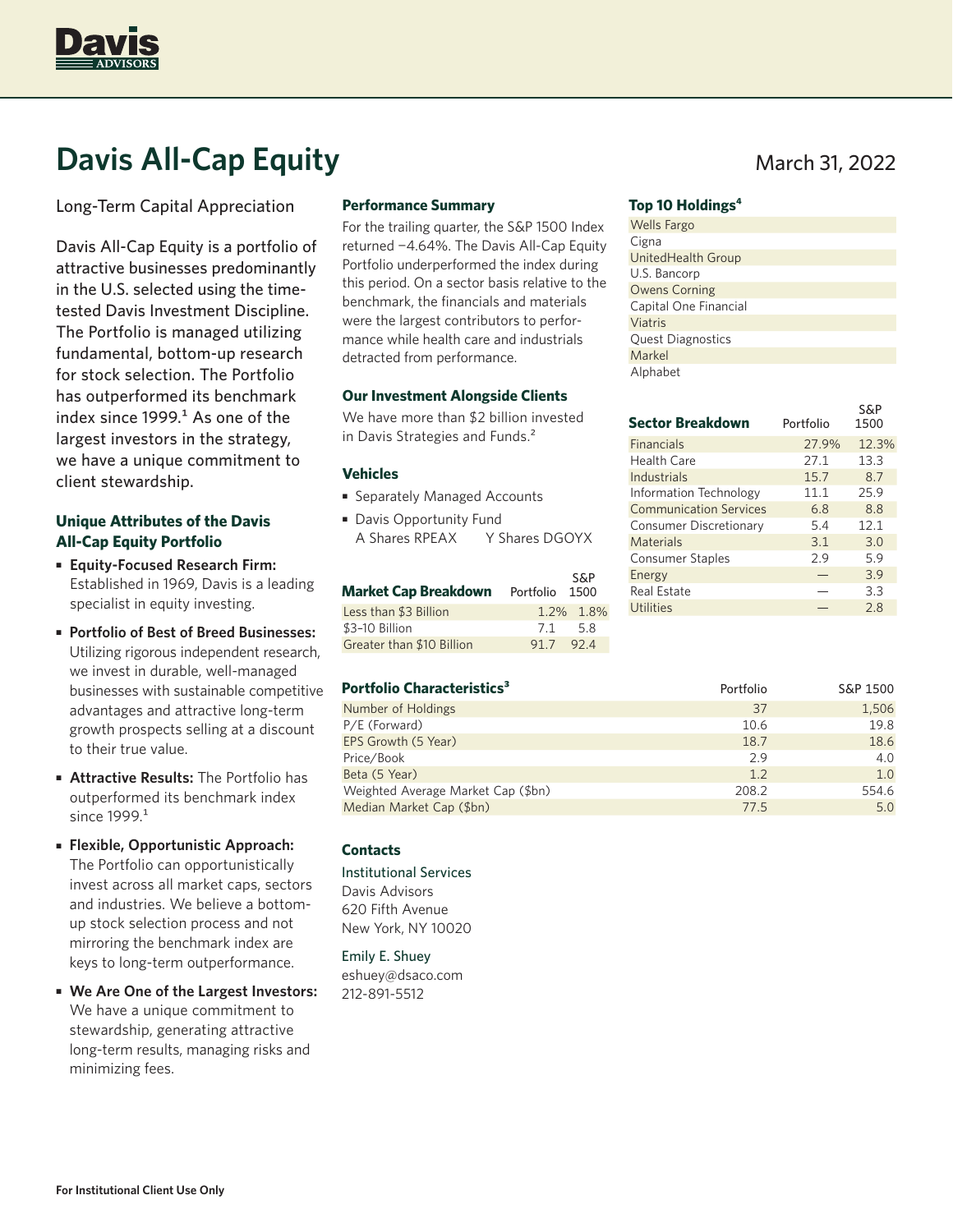

# **Davis All-Cap Equity** March 31, 2022

Long-Term Capital Appreciation

Davis All-Cap Equity is a portfolio of attractive businesses predominantly in the U.S. selected using the timetested Davis Investment Discipline. The Portfolio is managed utilizing fundamental, bottom-up research for stock selection. The Portfolio has outperformed its benchmark index since  $1999<sup>1</sup>$  As one of the largest investors in the strategy, we have a unique commitment to client stewardship.

## **Unique Attributes of the Davis All-Cap Equity Portfolio**

- **Equity-Focused Research Firm:** Established in 1969, Davis is a leading specialist in equity investing.
- **Portfolio of Best of Breed Businesses:**  Utilizing rigorous independent research, we invest in durable, well-managed businesses with sustainable competitive advantages and attractive long-term growth prospects selling at a discount to their true value.
- **Attractive Results:** The Portfolio has outperformed its benchmark index since 1999.<sup>1</sup>
- **Flexible, Opportunistic Approach:** The Portfolio can opportunistically invest across all market caps, sectors and industries. We believe a bottomup stock selection process and not mirroring the benchmark index are keys to long-term outperformance.
- **We Are One of the Largest Investors:** We have a unique commitment to stewardship, generating attractive long-term results, managing risks and minimizing fees.

#### **Performance Summary**

For the trailing quarter, the S&P 1500 Index returned −4.64%. The Davis All-Cap Equity Portfolio underperformed the index during this period. On a sector basis relative to the benchmark, the financials and materials were the largest contributors to performance while health care and industrials detracted from performance.

#### **Our Investment Alongside Clients**

We have more than \$2 billion invested in Davis Strategies and Funds.<sup>2</sup>

#### **Vehicles**

- Separately Managed Accounts
- Davis Opportunity Fund A Shares RPEAX Y Shares DGOYX

| Market Cap Breakdown      | Portfolio 1500 | <b>S&amp;P</b> |
|---------------------------|----------------|----------------|
| Less than \$3 Billion     |                | 1.2% 1.8%      |
| \$3-10 Billion            | 7.1            | -5.8           |
| Greater than \$10 Billion | 91.7           | 92.4           |

#### **Portfolio Characteristics<sup>3</sup> 2</sup> 2001 Portfolio** S&P 1500

| Number of Holdings                 | 37    | 1,506 |
|------------------------------------|-------|-------|
| P/E (Forward)                      | 10.6  | 19.8  |
| EPS Growth (5 Year)                | 18.7  | 18.6  |
| Price/Book                         | 2.9   | 4.0   |
| Beta (5 Year)                      | 1.2   | 1.0   |
| Weighted Average Market Cap (\$bn) | 208.2 | 554.6 |
| Median Market Cap (\$bn)           | 77.5  | 5.0   |

#### **Contacts**

Institutional Services Davis Advisors 620 Fifth Avenue New York, NY 10020

Emily E. Shuey eshuey@dsaco.com 212-891-5512

cc<sub>p</sub>

### **Top 10 Holdings4**

| <b>Wells Fargo</b>       |
|--------------------------|
| Cigna                    |
| UnitedHealth Group       |
| U.S. Bancorp             |
| <b>Owens Corning</b>     |
| Capital One Financial    |
| Viatris                  |
| <b>Quest Diagnostics</b> |
| Markel                   |
| Alphabet                 |

| <b>Sector Breakdown</b>       | Portfolio | S&P<br>1500 |
|-------------------------------|-----------|-------------|
| <b>Financials</b>             | 27.9%     | 12.3%       |
| Health Care                   | 27.1      | 13.3        |
| Industrials                   | 15.7      | 8.7         |
| <b>Information Technology</b> | 11.1      | 25.9        |
| <b>Communication Services</b> | 6.8       | 8.8         |
| Consumer Discretionary        | 5.4       | 12.1        |
| Materials                     | 3.1       | 3.0         |
| <b>Consumer Staples</b>       | 2.9       | 5.9         |
| Energy                        |           | 3.9         |
| <b>Real Estate</b>            |           | 3.3         |
| <b>Utilities</b>              |           | 2.8         |
|                               |           |             |